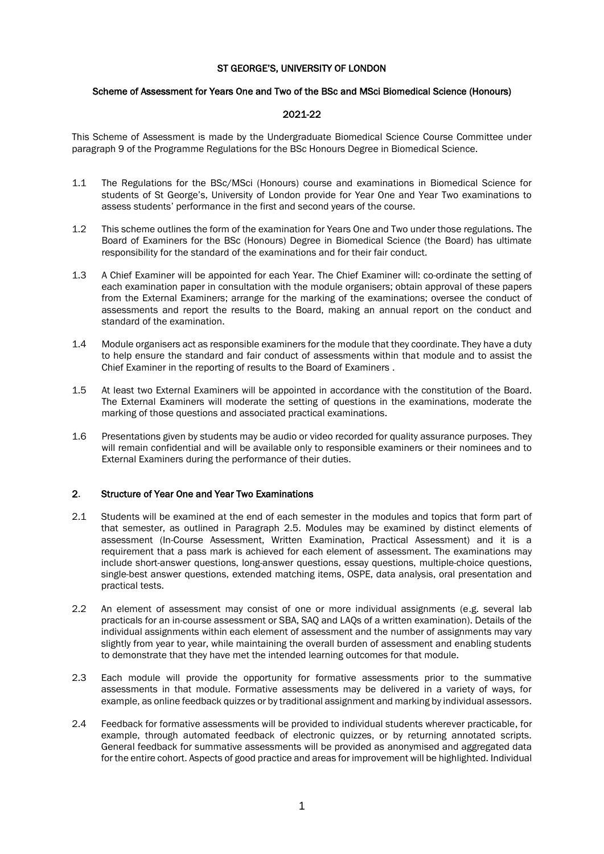# ST GEORGE'S, UNIVERSITY OF LONDON

### Scheme of Assessment for Years One and Two of the BSc and MSci Biomedical Science (Honours)

## 2021-22

This Scheme of Assessment is made by the Undergraduate Biomedical Science Course Committee under paragraph 9 of the Programme Regulations for the BSc Honours Degree in Biomedical Science.

- 1.1 The Regulations for the BSc/MSci (Honours) course and examinations in Biomedical Science for students of St George's, University of London provide for Year One and Year Two examinations to assess students' performance in the first and second years of the course.
- 1.2 This scheme outlines the form of the examination for Years One and Two under those regulations. The Board of Examiners for the BSc (Honours) Degree in Biomedical Science (the Board) has ultimate responsibility for the standard of the examinations and for their fair conduct.
- 1.3 A Chief Examiner will be appointed for each Year. The Chief Examiner will: co-ordinate the setting of each examination paper in consultation with the module organisers; obtain approval of these papers from the External Examiners; arrange for the marking of the examinations; oversee the conduct of assessments and report the results to the Board, making an annual report on the conduct and standard of the examination.
- 1.4 Module organisers act as responsible examiners for the module that they coordinate. They have a duty to help ensure the standard and fair conduct of assessments within that module and to assist the Chief Examiner in the reporting of results to the Board of Examiners .
- 1.5 At least two External Examiners will be appointed in accordance with the constitution of the Board. The External Examiners will moderate the setting of questions in the examinations, moderate the marking of those questions and associated practical examinations.
- 1.6 Presentations given by students may be audio or video recorded for quality assurance purposes. They will remain confidential and will be available only to responsible examiners or their nominees and to External Examiners during the performance of their duties.

### 2. Structure of Year One and Year Two Examinations

- 2.1 Students will be examined at the end of each semester in the modules and topics that form part of that semester, as outlined in Paragraph 2.5. Modules may be examined by distinct elements of assessment (In-Course Assessment, Written Examination, Practical Assessment) and it is a requirement that a pass mark is achieved for each element of assessment. The examinations may include short-answer questions, long-answer questions, essay questions, multiple-choice questions, single-best answer questions, extended matching items, OSPE, data analysis, oral presentation and practical tests.
- 2.2 An element of assessment may consist of one or more individual assignments (e.g. several lab practicals for an in-course assessment or SBA, SAQ and LAQs of a written examination). Details of the individual assignments within each element of assessment and the number of assignments may vary slightly from year to year, while maintaining the overall burden of assessment and enabling students to demonstrate that they have met the intended learning outcomes for that module.
- 2.3 Each module will provide the opportunity for formative assessments prior to the summative assessments in that module. Formative assessments may be delivered in a variety of ways, for example, as online feedback quizzes or by traditional assignment and marking by individual assessors.
- 2.4 Feedback for formative assessments will be provided to individual students wherever practicable, for example, through automated feedback of electronic quizzes, or by returning annotated scripts. General feedback for summative assessments will be provided as anonymised and aggregated data for the entire cohort. Aspects of good practice and areas for improvement will be highlighted. Individual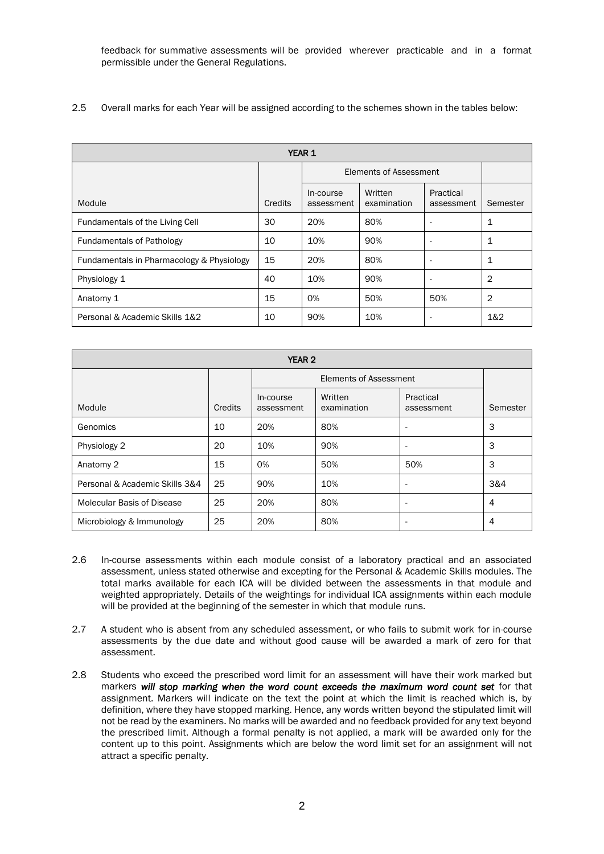feedback for summative assessments will be provided wherever practicable and in a format permissible under the General Regulations.

2.5 Overall marks for each Year will be assigned according to the schemes shown in the tables below:

| <b>YEAR 1</b>                             |         |                         |                        |                          |                |  |
|-------------------------------------------|---------|-------------------------|------------------------|--------------------------|----------------|--|
|                                           |         | Elements of Assessment  |                        |                          |                |  |
| Module                                    | Credits | In-course<br>assessment | Written<br>examination | Practical<br>assessment  | Semester       |  |
| Fundamentals of the Living Cell           | 30      | 20%                     | 80%                    | ٠                        | 1              |  |
| <b>Fundamentals of Pathology</b>          | 10      | 10%                     | 90%                    |                          | 1              |  |
| Fundamentals in Pharmacology & Physiology | 15      | 20%                     | 80%                    | ٠                        | 1              |  |
| Physiology 1                              | 40      | 10%                     | 90%                    | $\overline{\phantom{a}}$ | 2              |  |
| Anatomy 1                                 | 15      | O%                      | 50%                    | 50%                      | $\overline{2}$ |  |
| Personal & Academic Skills 1&2            | 10      | 90%                     | 10%                    | ۰                        | 1&2            |  |

| <b>YEAR 2</b>                  |         |                         |                        |                          |                |  |
|--------------------------------|---------|-------------------------|------------------------|--------------------------|----------------|--|
|                                |         | Elements of Assessment  |                        |                          |                |  |
| Module                         | Credits | In-course<br>assessment | Written<br>examination | Practical<br>assessment  | Semester       |  |
| Genomics                       | 10      | 20%                     | 80%                    | ٠                        | 3              |  |
| Physiology 2                   | 20      | 10%                     | 90%                    | $\overline{\phantom{a}}$ | 3              |  |
| Anatomy 2                      | 15      | 0%                      | 50%                    | 50%                      | 3              |  |
| Personal & Academic Skills 3&4 | 25      | 90%                     | 10%                    | $\overline{\phantom{a}}$ | 3&4            |  |
| Molecular Basis of Disease     | 25      | 20%                     | 80%                    | ٠                        | $\overline{4}$ |  |
| Microbiology & Immunology      | 25      | 20%                     | 80%                    | $\overline{\phantom{a}}$ | $\overline{4}$ |  |

- 2.6 In-course assessments within each module consist of a laboratory practical and an associated assessment, unless stated otherwise and excepting for the Personal & Academic Skills modules. The total marks available for each ICA will be divided between the assessments in that module and weighted appropriately. Details of the weightings for individual ICA assignments within each module will be provided at the beginning of the semester in which that module runs.
- 2.7 A student who is absent from any scheduled assessment, or who fails to submit work for in-course assessments by the due date and without good cause will be awarded a mark of zero for that assessment.
- 2.8 Students who exceed the prescribed word limit for an assessment will have their work marked but markers *will stop marking when the word count exceeds the maximum word count set* for that assignment. Markers will indicate on the text the point at which the limit is reached which is, by definition, where they have stopped marking. Hence, any words written beyond the stipulated limit will not be read by the examiners. No marks will be awarded and no feedback provided for any text beyond the prescribed limit. Although a formal penalty is not applied, a mark will be awarded only for the content up to this point. Assignments which are below the word limit set for an assignment will not attract a specific penalty.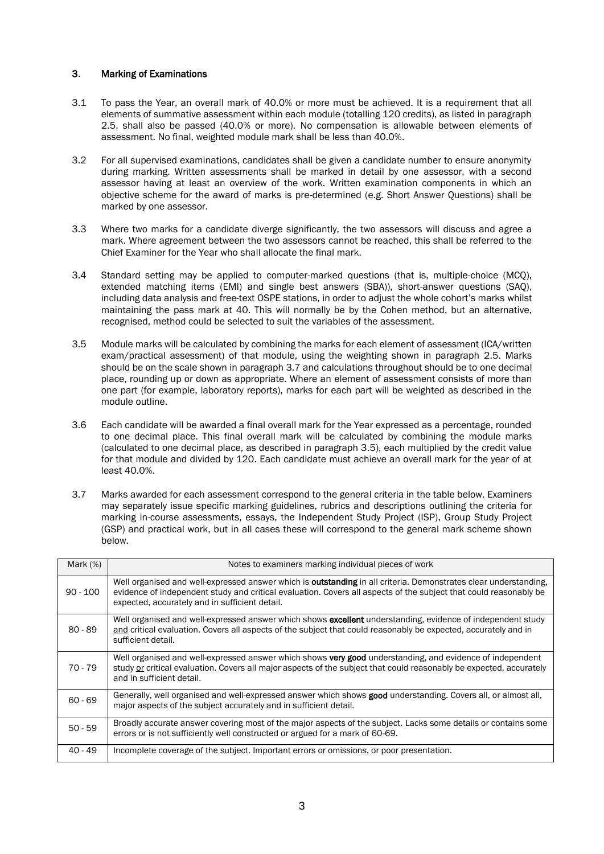# 3. Marking of Examinations

- 3.1 To pass the Year, an overall mark of 40.0% or more must be achieved. It is a requirement that all elements of summative assessment within each module (totalling 120 credits), as listed in paragraph 2.5, shall also be passed (40.0% or more). No compensation is allowable between elements of assessment. No final, weighted module mark shall be less than 40.0%.
- 3.2 For all supervised examinations, candidates shall be given a candidate number to ensure anonymity during marking. Written assessments shall be marked in detail by one assessor, with a second assessor having at least an overview of the work. Written examination components in which an objective scheme for the award of marks is pre-determined (e.g. Short Answer Questions) shall be marked by one assessor.
- 3.3 Where two marks for a candidate diverge significantly, the two assessors will discuss and agree a mark. Where agreement between the two assessors cannot be reached, this shall be referred to the Chief Examiner for the Year who shall allocate the final mark.
- 3.4 Standard setting may be applied to computer-marked questions (that is, multiple-choice (MCQ), extended matching items (EMI) and single best answers (SBA)), short-answer questions (SAQ), including data analysis and free-text OSPE stations, in order to adjust the whole cohort's marks whilst maintaining the pass mark at 40. This will normally be by the Cohen method, but an alternative, recognised, method could be selected to suit the variables of the assessment.
- 3.5 Module marks will be calculated by combining the marks for each element of assessment (ICA/written exam/practical assessment) of that module, using the weighting shown in paragraph 2.5. Marks should be on the scale shown in paragraph 3.7 and calculations throughout should be to one decimal place, rounding up or down as appropriate. Where an element of assessment consists of more than one part (for example, laboratory reports), marks for each part will be weighted as described in the module outline.
- 3.6 Each candidate will be awarded a final overall mark for the Year expressed as a percentage, rounded to one decimal place. This final overall mark will be calculated by combining the module marks (calculated to one decimal place, as described in paragraph 3.5), each multiplied by the credit value for that module and divided by 120. Each candidate must achieve an overall mark for the year of at least 40.0%.
- 3.7 Marks awarded for each assessment correspond to the general criteria in the table below. Examiners may separately issue specific marking guidelines, rubrics and descriptions outlining the criteria for marking in-course assessments, essays, the Independent Study Project (ISP), Group Study Project (GSP) and practical work, but in all cases these will correspond to the general mark scheme shown below.

| Mark $(%)$ | Notes to examiners marking individual pieces of work                                                                                                                                                                                                                                           |
|------------|------------------------------------------------------------------------------------------------------------------------------------------------------------------------------------------------------------------------------------------------------------------------------------------------|
| $90 - 100$ | Well organised and well-expressed answer which is <b>outstanding</b> in all criteria. Demonstrates clear understanding,<br>evidence of independent study and critical evaluation. Covers all aspects of the subject that could reasonably be<br>expected, accurately and in sufficient detail. |
| $80 - 89$  | Well organised and well-expressed answer which shows excellent understanding, evidence of independent study<br>and critical evaluation. Covers all aspects of the subject that could reasonably be expected, accurately and in<br>sufficient detail.                                           |
| 70 - 79    | Well organised and well-expressed answer which shows very good understanding, and evidence of independent<br>study or critical evaluation. Covers all major aspects of the subject that could reasonably be expected, accurately<br>and in sufficient detail.                                  |
| $60 - 69$  | Generally, well organised and well-expressed answer which shows good understanding. Covers all, or almost all,<br>major aspects of the subject accurately and in sufficient detail.                                                                                                            |
| $50 - 59$  | Broadly accurate answer covering most of the major aspects of the subject. Lacks some details or contains some<br>errors or is not sufficiently well constructed or argued for a mark of 60-69.                                                                                                |
| $40 - 49$  | Incomplete coverage of the subject. Important errors or omissions, or poor presentation.                                                                                                                                                                                                       |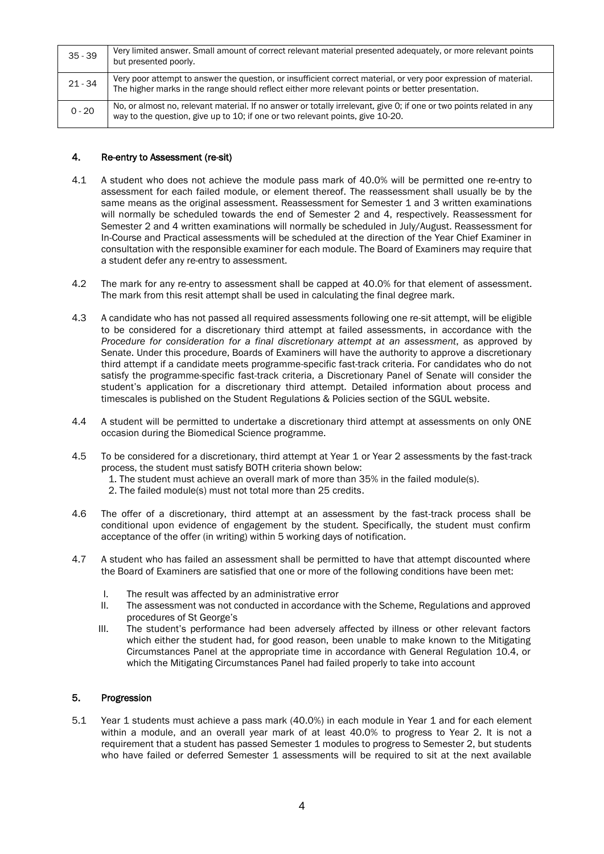| $35 - 39$ | Very limited answer. Small amount of correct relevant material presented adequately, or more relevant points<br>but presented poorly.                                                                                |
|-----------|----------------------------------------------------------------------------------------------------------------------------------------------------------------------------------------------------------------------|
| $21 - 34$ | Very poor attempt to answer the question, or insufficient correct material, or very poor expression of material.<br>The higher marks in the range should reflect either more relevant points or better presentation. |
| $0 - 20$  | No, or almost no, relevant material. If no answer or totally irrelevant, give 0; if one or two points related in any<br>way to the question, give up to 10; if one or two relevant points, give 10-20.               |

# 4. Re-entry to Assessment (re-sit)

- 4.1 A student who does not achieve the module pass mark of 40.0% will be permitted one re-entry to assessment for each failed module, or element thereof. The reassessment shall usually be by the same means as the original assessment. Reassessment for Semester 1 and 3 written examinations will normally be scheduled towards the end of Semester 2 and 4, respectively. Reassessment for Semester 2 and 4 written examinations will normally be scheduled in July/August. Reassessment for In-Course and Practical assessments will be scheduled at the direction of the Year Chief Examiner in consultation with the responsible examiner for each module. The Board of Examiners may require that a student defer any re-entry to assessment.
- 4.2 The mark for any re-entry to assessment shall be capped at 40.0% for that element of assessment. The mark from this resit attempt shall be used in calculating the final degree mark.
- 4.3 A candidate who has not passed all required assessments following one re-sit attempt, will be eligible to be considered for a discretionary third attempt at failed assessments, in accordance with the *Procedure for consideration for a final discretionary attempt at an assessment*, as approved by Senate. Under this procedure, Boards of Examiners will have the authority to approve a discretionary third attempt if a candidate meets programme-specific fast-track criteria. For candidates who do not satisfy the programme-specific fast-track criteria, a Discretionary Panel of Senate will consider the student's application for a discretionary third attempt. Detailed information about process and timescales is published on the Student Regulations & Policies section of the SGUL website.
- 4.4 A student will be permitted to undertake a discretionary third attempt at assessments on only ONE occasion during the Biomedical Science programme.
- 4.5 To be considered for a discretionary, third attempt at Year 1 or Year 2 assessments by the fast-track process, the student must satisfy BOTH criteria shown below:
	- 1. The student must achieve an overall mark of more than 35% in the failed module(s).
	- 2. The failed module(s) must not total more than 25 credits.
- 4.6 The offer of a discretionary, third attempt at an assessment by the fast-track process shall be conditional upon evidence of engagement by the student. Specifically, the student must confirm acceptance of the offer (in writing) within 5 working days of notification.
- 4.7 A student who has failed an assessment shall be permitted to have that attempt discounted where the Board of Examiners are satisfied that one or more of the following conditions have been met:
	- I. The result was affected by an administrative error
	- II. The assessment was not conducted in accordance with the Scheme, Regulations and approved procedures of St George's
	- III. The student's performance had been adversely affected by illness or other relevant factors which either the student had, for good reason, been unable to make known to the Mitigating Circumstances Panel at the appropriate time in accordance with General Regulation 10.4, or which the Mitigating Circumstances Panel had failed properly to take into account

### 5. Progression

5.1 Year 1 students must achieve a pass mark (40.0%) in each module in Year 1 and for each element within a module, and an overall year mark of at least 40.0% to progress to Year 2. It is not a requirement that a student has passed Semester 1 modules to progress to Semester 2, but students who have failed or deferred Semester 1 assessments will be required to sit at the next available